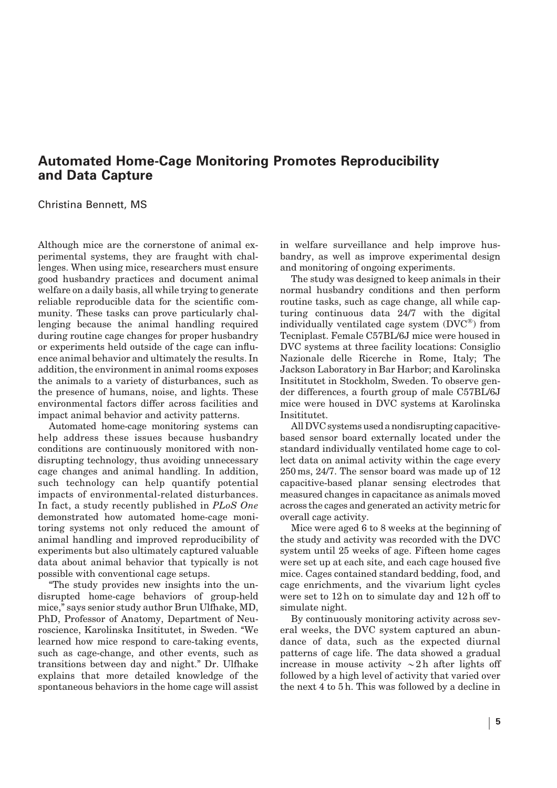## Automated Home-Cage Monitoring Promotes Reproducibility and Data Capture

Christina Bennett, MS

Although mice are the cornerstone of animal experimental systems, they are fraught with challenges. When using mice, researchers must ensure good husbandry practices and document animal welfare on a daily basis, all while trying to generate reliable reproducible data for the scientific community. These tasks can prove particularly challenging because the animal handling required during routine cage changes for proper husbandry or experiments held outside of the cage can influence animal behavior and ultimately the results. In addition, the environment in animal rooms exposes the animals to a variety of disturbances, such as the presence of humans, noise, and lights. These environmental factors differ across facilities and impact animal behavior and activity patterns.

Automated home-cage monitoring systems can help address these issues because husbandry conditions are continuously monitored with nondisrupting technology, thus avoiding unnecessary cage changes and animal handling. In addition, such technology can help quantify potential impacts of environmental-related disturbances. In fact, a study recently published in PLoS One demonstrated how automated home-cage monitoring systems not only reduced the amount of animal handling and improved reproducibility of experiments but also ultimately captured valuable data about animal behavior that typically is not possible with conventional cage setups.

''The study provides new insights into the undisrupted home-cage behaviors of group-held mice,'' says senior study author Brun Ulfhake, MD, PhD, Professor of Anatomy, Department of Neuroscience, Karolinska Insititutet, in Sweden. ''We learned how mice respond to care-taking events, such as cage-change, and other events, such as transitions between day and night.'' Dr. Ulfhake explains that more detailed knowledge of the spontaneous behaviors in the home cage will assist in welfare surveillance and help improve husbandry, as well as improve experimental design and monitoring of ongoing experiments.

The study was designed to keep animals in their normal husbandry conditions and then perform routine tasks, such as cage change, all while capturing continuous data 24/7 with the digital individually ventilated cage system  $(DVC^{\circledast})$  from Tecniplast. Female C57BL/6J mice were housed in DVC systems at three facility locations: Consiglio Nazionale delle Ricerche in Rome, Italy; The Jackson Laboratory in Bar Harbor; and Karolinska Insititutet in Stockholm, Sweden. To observe gender differences, a fourth group of male C57BL/6J mice were housed in DVC systems at Karolinska Insititutet.

All DVC systems used a nondisrupting capacitivebased sensor board externally located under the standard individually ventilated home cage to collect data on animal activity within the cage every 250 ms, 24/7. The sensor board was made up of 12 capacitive-based planar sensing electrodes that measured changes in capacitance as animals moved across the cages and generated an activity metric for overall cage activity.

Mice were aged 6 to 8 weeks at the beginning of the study and activity was recorded with the DVC system until 25 weeks of age. Fifteen home cages were set up at each site, and each cage housed five mice. Cages contained standard bedding, food, and cage enrichments, and the vivarium light cycles were set to 12 h on to simulate day and 12 h off to simulate night.

By continuously monitoring activity across several weeks, the DVC system captured an abundance of data, such as the expected diurnal patterns of cage life. The data showed a gradual increase in mouse activity  $\sim$ 2 h after lights off followed by a high level of activity that varied over the next 4 to 5 h. This was followed by a decline in